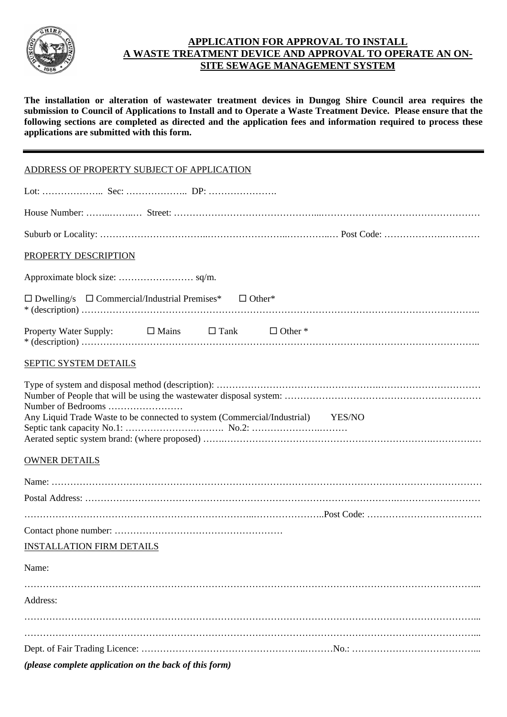

#### **APPLICATION FOR APPROVAL TO INSTALL A WASTE TREATMENT DEVICE AND APPROVAL TO OPERATE AN ON-SITE SEWAGE MANAGEMENT SYSTEM**

**The installation or alteration of wastewater treatment devices in Dungog Shire Council area requires the submission to Council of Applications to Install and to Operate a Waste Treatment Device. Please ensure that the following sections are completed as directed and the application fees and information required to process these applications are submitted with this form.**

| ADDRESS OF PROPERTY SUBJECT OF APPLICATION                                      |
|---------------------------------------------------------------------------------|
|                                                                                 |
|                                                                                 |
|                                                                                 |
| PROPERTY DESCRIPTION                                                            |
|                                                                                 |
| $\Box$ Dwelling/s $\Box$ Commercial/Industrial Premises* $\Box$ Other*          |
| Property Water Supply:<br>$\Box$ Mains $\Box$ Tank $\Box$ Other *               |
| SEPTIC SYSTEM DETAILS                                                           |
| Number of Bedrooms                                                              |
| Any Liquid Trade Waste to be connected to system (Commercial/Industrial) YES/NO |
| <b>OWNER DETAILS</b>                                                            |
|                                                                                 |
|                                                                                 |
|                                                                                 |
| <b>INSTALLATION FIRM DETAILS</b>                                                |
| Name:                                                                           |
| Address:                                                                        |
|                                                                                 |

*(please complete application on the back of this form)*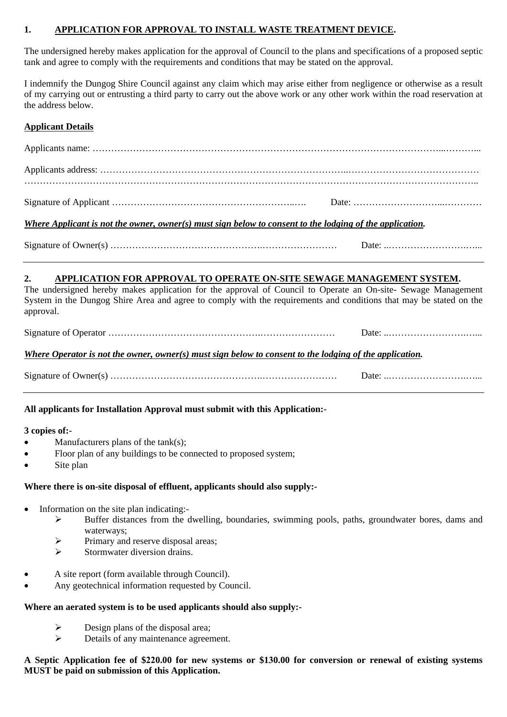#### **1. APPLICATION FOR APPROVAL TO INSTALL WASTE TREATMENT DEVICE.**

The undersigned hereby makes application for the approval of Council to the plans and specifications of a proposed septic tank and agree to comply with the requirements and conditions that may be stated on the approval.

I indemnify the Dungog Shire Council against any claim which may arise either from negligence or otherwise as a result of my carrying out or entrusting a third party to carry out the above work or any other work within the road reservation at the address below.

#### **Applicant Details**

| Where Applicant is not the owner, owner(s) must sign below to consent to the lodging of the application. |  |
|----------------------------------------------------------------------------------------------------------|--|
|                                                                                                          |  |

### **2. APPLICATION FOR APPROVAL TO OPERATE ON-SITE SEWAGE MANAGEMENT SYSTEM.**

The undersigned hereby makes application for the approval of Council to Operate an On-site- Sewage Management System in the Dungog Shire Area and agree to comply with the requirements and conditions that may be stated on the approval.

|--|--|

# *Where Operator is not the owner, owner(s) must sign below to consent to the lodging of the application.*

| Signature of C<br>' )wner(s. | лат |
|------------------------------|-----|
|                              |     |

# **All applicants for Installation Approval must submit with this Application:-**

#### **3 copies of:-**

- Manufacturers plans of the  $tank(s)$ ;
- Floor plan of any buildings to be connected to proposed system;
- Site plan

#### **Where there is on-site disposal of effluent, applicants should also supply:-**

- Information on the site plan indicating:-
	- ¾ Buffer distances from the dwelling, boundaries, swimming pools, paths, groundwater bores, dams and waterways;
	- $\triangleright$  Primary and reserve disposal areas;
	- $\triangleright$  Stormwater diversion drains.
- A site report (form available through Council).
- Any geotechnical information requested by Council.

#### **Where an aerated system is to be used applicants should also supply:-**

- $\triangleright$  Design plans of the disposal area;
- $\triangleright$  Details of any maintenance agreement.

#### **A Septic Application fee of \$220.00 for new systems or \$130.00 for conversion or renewal of existing systems MUST be paid on submission of this Application.**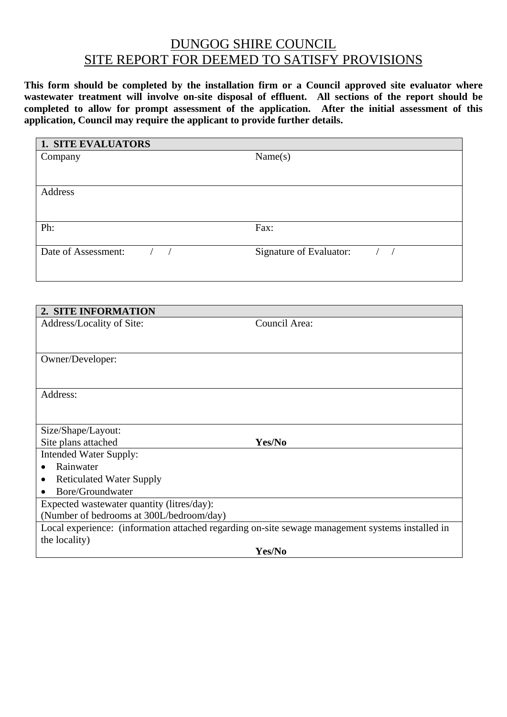# DUNGOG SHIRE COUNCIL SITE REPORT FOR DEEMED TO SATISFY PROVISIONS

**This form should be completed by the installation firm or a Council approved site evaluator where wastewater treatment will involve on-site disposal of effluent. All sections of the report should be completed to allow for prompt assessment of the application. After the initial assessment of this application, Council may require the applicant to provide further details.** 

| <b>1. SITE EVALUATORS</b>                       |                                    |
|-------------------------------------------------|------------------------------------|
| Company                                         | Name(s)                            |
|                                                 |                                    |
|                                                 |                                    |
| Address                                         |                                    |
|                                                 |                                    |
|                                                 |                                    |
| Ph:                                             | Fax:                               |
|                                                 |                                    |
| Date of Assessment:<br>$\sqrt{ }$<br>$\sqrt{2}$ | Signature of Evaluator:<br>$/$ $/$ |
|                                                 |                                    |
|                                                 |                                    |
|                                                 |                                    |
|                                                 |                                    |
| 2. SITE INFORMATION                             |                                    |
| Address/Locality of Site:                       | Council Area:                      |
|                                                 |                                    |
|                                                 |                                    |
| Owner/Developer:                                |                                    |
|                                                 |                                    |
|                                                 |                                    |
| Address:                                        |                                    |
|                                                 |                                    |
|                                                 |                                    |
| Size/Shape/Layout:                              |                                    |

Site plans attached **Yes/No** Intended Water Supply:

- Rainwater
- Reticulated Water Supply
- Bore/Groundwater

Expected wastewater quantity (litres/day):

(Number of bedrooms at 300L/bedroom/day)

Local experience: (information attached regarding on-site sewage management systems installed in the locality)

**Yes/No**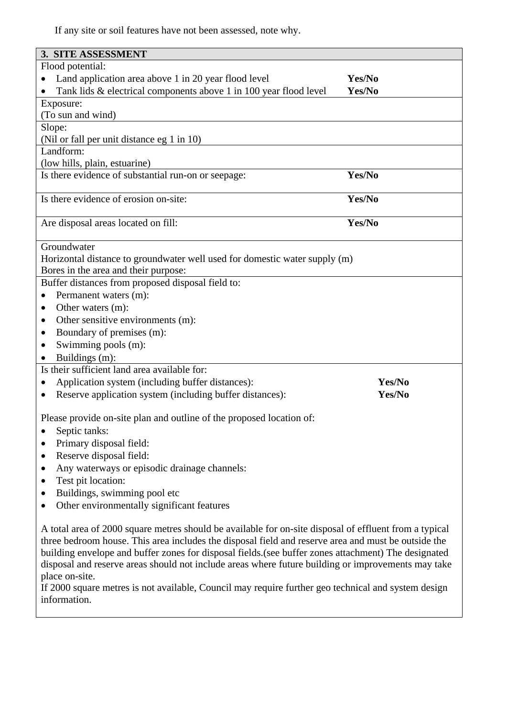If any site or soil features have not been assessed, note why.

| 3. SITE ASSESSMENT                                                                                     |        |  |
|--------------------------------------------------------------------------------------------------------|--------|--|
| Flood potential:                                                                                       |        |  |
| Land application area above 1 in 20 year flood level                                                   | Yes/No |  |
| Tank lids & electrical components above 1 in 100 year flood level<br>Yes/No                            |        |  |
| Exposure:                                                                                              |        |  |
| (To sun and wind)                                                                                      |        |  |
| Slope:                                                                                                 |        |  |
| (Nil or fall per unit distance eg 1 in 10)                                                             |        |  |
| Landform:                                                                                              |        |  |
| (low hills, plain, estuarine)                                                                          |        |  |
| Is there evidence of substantial run-on or seepage:                                                    | Yes/No |  |
|                                                                                                        |        |  |
| Is there evidence of erosion on-site:                                                                  | Yes/No |  |
|                                                                                                        |        |  |
| Are disposal areas located on fill:                                                                    | Yes/No |  |
| Groundwater                                                                                            |        |  |
| Horizontal distance to groundwater well used for domestic water supply (m)                             |        |  |
| Bores in the area and their purpose:                                                                   |        |  |
| Buffer distances from proposed disposal field to:                                                      |        |  |
| Permanent waters (m):<br>$\bullet$                                                                     |        |  |
| Other waters (m):<br>٠                                                                                 |        |  |
| Other sensitive environments (m):<br>$\bullet$                                                         |        |  |
| Boundary of premises (m):<br>$\bullet$                                                                 |        |  |
| Swimming pools (m):                                                                                    |        |  |
| Buildings (m):                                                                                         |        |  |
| Is their sufficient land area available for:                                                           |        |  |
| Application system (including buffer distances):<br>$\bullet$                                          | Yes/No |  |
| Reserve application system (including buffer distances):<br>$\bullet$                                  | Yes/No |  |
|                                                                                                        |        |  |
| Please provide on-site plan and outline of the proposed location of:                                   |        |  |
| Septic tanks:                                                                                          |        |  |
| Primary disposal field:<br>$\bullet$                                                                   |        |  |
| Reserve disposal field:<br>٠                                                                           |        |  |
| Any waterways or episodic drainage channels:<br>$\bullet$                                              |        |  |
| Test pit location:<br>٠                                                                                |        |  |
| Buildings, swimming pool etc<br>٠                                                                      |        |  |
| Other environmentally significant features                                                             |        |  |
|                                                                                                        |        |  |
| A total area of 2000 square metres should be available for on-site disposal of effluent from a typical |        |  |
| three bedroom house. This area includes the disposal field and reserve area and must be outside the    |        |  |
| building envelope and buffer zones for disposal fields.(see buffer zones attachment) The designated    |        |  |
| disposal and reserve areas should not include areas where future building or improvements may take     |        |  |

place on-site.

If 2000 square metres is not available, Council may require further geo technical and system design information.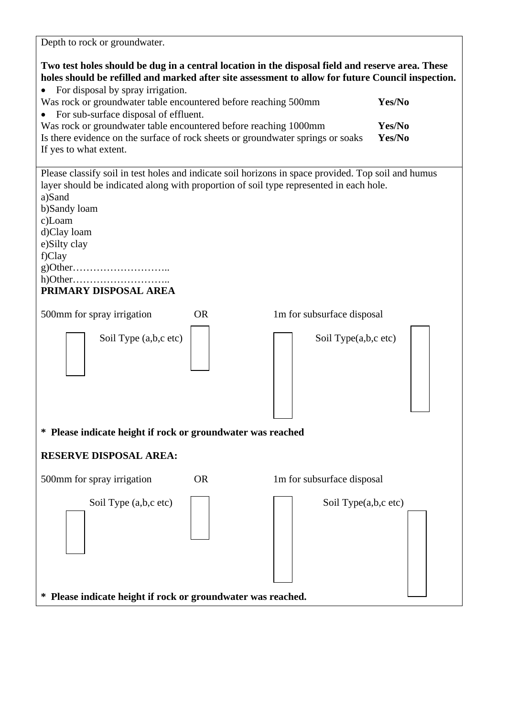| Depth to rock or groundwater.                                                                                                                                                                                                                                                                       |           |                            |                  |
|-----------------------------------------------------------------------------------------------------------------------------------------------------------------------------------------------------------------------------------------------------------------------------------------------------|-----------|----------------------------|------------------|
| Two test holes should be dug in a central location in the disposal field and reserve area. These<br>holes should be refilled and marked after site assessment to allow for future Council inspection.<br>For disposal by spray irrigation.                                                          |           |                            |                  |
| Was rock or groundwater table encountered before reaching 500mm<br>For sub-surface disposal of effluent.                                                                                                                                                                                            |           |                            | Yes/No           |
| Was rock or groundwater table encountered before reaching 1000mm<br>Is there evidence on the surface of rock sheets or groundwater springs or soaks<br>If yes to what extent.                                                                                                                       |           |                            | Yes/No<br>Yes/No |
| Please classify soil in test holes and indicate soil horizons in space provided. Top soil and humus<br>layer should be indicated along with proportion of soil type represented in each hole.<br>a)Sand<br>b)Sandy loam<br>c)Loam<br>d)Clay loam<br>e)Silty clay<br>f)Clay<br>PRIMARY DISPOSAL AREA |           |                            |                  |
| 500mm for spray irrigation                                                                                                                                                                                                                                                                          | <b>OR</b> | 1m for subsurface disposal |                  |
| Soil Type (a,b,c etc)                                                                                                                                                                                                                                                                               |           | Soil Type(a,b,c etc)       |                  |
| * Please indicate height if rock or groundwater was reached                                                                                                                                                                                                                                         |           |                            |                  |
| <b>RESERVE DISPOSAL AREA:</b>                                                                                                                                                                                                                                                                       |           |                            |                  |
| 500mm for spray irrigation                                                                                                                                                                                                                                                                          | <b>OR</b> | 1m for subsurface disposal |                  |
| Soil Type (a,b,c etc)                                                                                                                                                                                                                                                                               |           | Soil Type(a,b,c etc)       |                  |
| * Please indicate height if rock or groundwater was reached.                                                                                                                                                                                                                                        |           |                            |                  |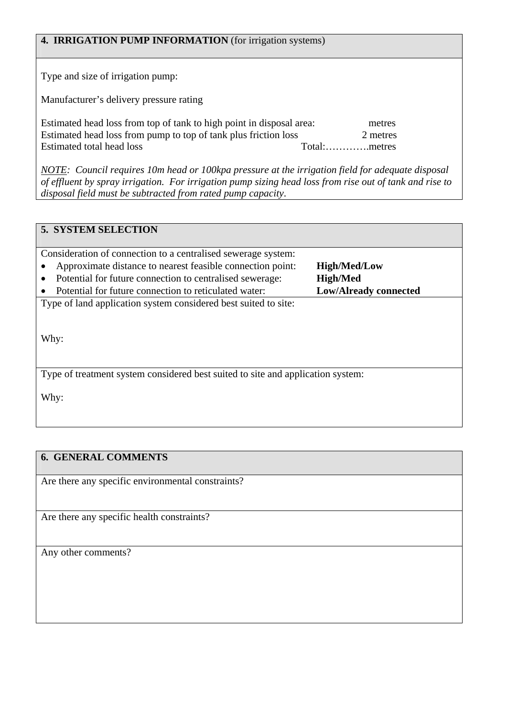| <b>4. IRRIGATION PUMP INFORMATION</b> (for irrigation systems)                                                                                                       |                                        |
|----------------------------------------------------------------------------------------------------------------------------------------------------------------------|----------------------------------------|
| Type and size of irrigation pump:                                                                                                                                    |                                        |
| Manufacturer's delivery pressure rating                                                                                                                              |                                        |
| Estimated head loss from top of tank to high point in disposal area:<br>Estimated head loss from pump to top of tank plus friction loss<br>Estimated total head loss | metres<br>2 metres<br>Total:<br>metres |

*NOTE: Council requires 10m head or 100kpa pressure at the irrigation field for adequate disposal of effluent by spray irrigation. For irrigation pump sizing head loss from rise out of tank and rise to disposal field must be subtracted from rated pump capacity*.

# **5. SYSTEM SELECTION**

Consideration of connection to a centralised sewerage system: • Approximate distance to nearest feasible connection point: **High/Med/Low**

- Potential for future connection to centralised sewerage: **High/Med**
- Potential for future connection to reticulated water: **Low/Already connected**

Type of land application system considered best suited to site:

Why:

Type of treatment system considered best suited to site and application system:

Why:

# **6. GENERAL COMMENTS**

Are there any specific environmental constraints?

Are there any specific health constraints?

Any other comments?